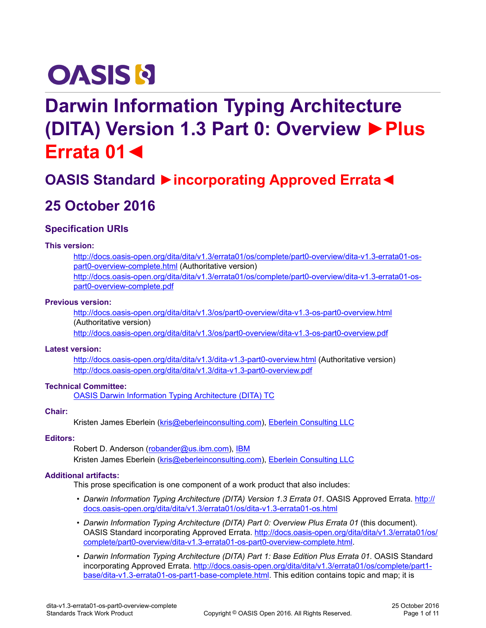# **OASIS N**

## **Darwin Information Typing Architecture (DITA) Version 1.3 Part 0: Overview ►Plus Errata 01◄**

## **OASIS Standard ►incorporating Approved Errata◄**

## **25 October 2016**

#### **Specification URIs**

#### **This version:**

[http://docs.oasis-open.org/dita/dita/v1.3/errata01/os/complete/part0-overview/dita-v1.3-errata01-os](http://docs.oasis-open.org/dita/dita/v1.3/errata01/os/complete/part0-overview/dita-v1.3-errata01-os-part0-overview-complete.html)[part0-overview-complete.html](http://docs.oasis-open.org/dita/dita/v1.3/errata01/os/complete/part0-overview/dita-v1.3-errata01-os-part0-overview-complete.html) (Authoritative version) [http://docs.oasis-open.org/dita/dita/v1.3/errata01/os/complete/part0-overview/dita-v1.3-errata01-os](http://docs.oasis-open.org/dita/dita/v1.3/errata01/os/complete/part0-overview/dita-v1.3-errata01-os-part0-overview-complete.pdf)[part0-overview-complete.pdf](http://docs.oasis-open.org/dita/dita/v1.3/errata01/os/complete/part0-overview/dita-v1.3-errata01-os-part0-overview-complete.pdf)

#### **Previous version:**

<http://docs.oasis-open.org/dita/dita/v1.3/os/part0-overview/dita-v1.3-os-part0-overview.html> (Authoritative version)

<http://docs.oasis-open.org/dita/dita/v1.3/os/part0-overview/dita-v1.3-os-part0-overview.pdf>

#### **Latest version:**

<http://docs.oasis-open.org/dita/dita/v1.3/dita-v1.3-part0-overview.html> (Authoritative version) <http://docs.oasis-open.org/dita/dita/v1.3/dita-v1.3-part0-overview.pdf>

#### **Technical Committee:**

[OASIS Darwin Information Typing Architecture \(DITA\) TC](https://www.oasis-open.org/committees/dita/)

#### **Chair:**

Kristen James Eberlein ([kris@eberleinconsulting.com\)](mailto:kris@eberleinconsulting.com), [Eberlein Consulting LLC](http://eberleinconsulting.com/)

#### **Editors:**

Robert D. Anderson [\(robander@us.ibm.com](mailto:robander@us.ibm.com)), [IBM](http://www.ibm.com) Kristen James Eberlein ([kris@eberleinconsulting.com\)](mailto:kris@eberleinconsulting.com), [Eberlein Consulting LLC](http://eberleinconsulting.com/)

#### **Additional artifacts:**

This prose specification is one component of a work product that also includes:

- *Darwin Information Typing Architecture (DITA) Version 1.3 Errata 01*. OASIS Approved Errata. [http://](http://docs.oasis-open.org/dita/dita/v1.3/errata01/os/dita-v1.3-errata01-os.html) [docs.oasis-open.org/dita/dita/v1.3/errata01/os/dita-v1.3-errata01-os.html](http://docs.oasis-open.org/dita/dita/v1.3/errata01/os/dita-v1.3-errata01-os.html)
- *Darwin Information Typing Architecture (DITA) Part 0: Overview Plus Errata 01* (this document). OASIS Standard incorporating Approved Errata. [http://docs.oasis-open.org/dita/dita/v1.3/errata01/os/](http://docs.oasis-open.org/dita/dita/v1.3/errata01/os/complete/part0-overview/dita-v1.3-errata01-os-part0-overview-complete.html) [complete/part0-overview/dita-v1.3-errata01-os-part0-overview-complete.html](http://docs.oasis-open.org/dita/dita/v1.3/errata01/os/complete/part0-overview/dita-v1.3-errata01-os-part0-overview-complete.html).
- *Darwin Information Typing Architecture (DITA) Part 1: Base Edition Plus Errata 01*. OASIS Standard incorporating Approved Errata. [http://docs.oasis-open.org/dita/dita/v1.3/errata01/os/complete/part1](http://docs.oasis-open.org/dita/dita/v1.3/errata01/os/complete/part1-base/dita-v1.3-errata01-os-part1-base-complete.html) [base/dita-v1.3-errata01-os-part1-base-complete.html](http://docs.oasis-open.org/dita/dita/v1.3/errata01/os/complete/part1-base/dita-v1.3-errata01-os-part1-base-complete.html). This edition contains topic and map; it is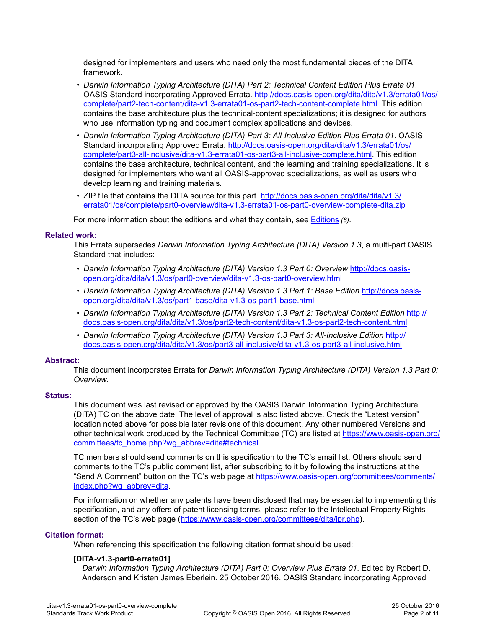designed for implementers and users who need only the most fundamental pieces of the DITA framework.

- *Darwin Information Typing Architecture (DITA) Part 2: Technical Content Edition Plus Errata 01*. OASIS Standard incorporating Approved Errata. [http://docs.oasis-open.org/dita/dita/v1.3/errata01/os/](http://docs.oasis-open.org/dita/dita/v1.3/errata01/os/complete/part2-tech-content/dita-v1.3-errata01-os-part2-tech-content-complete.html) [complete/part2-tech-content/dita-v1.3-errata01-os-part2-tech-content-complete.html](http://docs.oasis-open.org/dita/dita/v1.3/errata01/os/complete/part2-tech-content/dita-v1.3-errata01-os-part2-tech-content-complete.html). This edition contains the base architecture plus the technical-content specializations; it is designed for authors who use information typing and document complex applications and devices.
- *Darwin Information Typing Architecture (DITA) Part 3: All-Inclusive Edition Plus Errata 01*. OASIS Standard incorporating Approved Errata. [http://docs.oasis-open.org/dita/dita/v1.3/errata01/os/](http://docs.oasis-open.org/dita/dita/v1.3/errata01/os/complete/part3-all-inclusive/dita-v1.3-errata01-os-part3-all-inclusive-complete.html) [complete/part3-all-inclusive/dita-v1.3-errata01-os-part3-all-inclusive-complete.html.](http://docs.oasis-open.org/dita/dita/v1.3/errata01/os/complete/part3-all-inclusive/dita-v1.3-errata01-os-part3-all-inclusive-complete.html) This edition contains the base architecture, technical content, and the learning and training specializations. It is designed for implementers who want all OASIS-approved specializations, as well as users who develop learning and training materials.
- ZIP file that contains the DITA source for this part. [http://docs.oasis-open.org/dita/dita/v1.3/](http://docs.oasis-open.org/dita/dita/v1.3/errata01/os/complete/part0-overview/dita-v1.3-errata01-os-part0-overview-complete-dita.zip) [errata01/os/complete/part0-overview/dita-v1.3-errata01-os-part0-overview-complete-dita.zip](http://docs.oasis-open.org/dita/dita/v1.3/errata01/os/complete/part0-overview/dita-v1.3-errata01-os-part0-overview-complete-dita.zip)

For more information about the editions and what they contain, see [Editions](#page-5-0) *(6)*.

#### **Related work:**

This Errata supersedes *Darwin Information Typing Architecture (DITA) Version 1.3*, a multi-part OASIS Standard that includes:

- Darwin Information Typing Architecture (DITA) Version 1.3 Part 0: Overview [http://docs.oasis](http://docs.oasis-open.org/dita/dita/v1.3/os/part0-overview/dita-v1.3-os-part0-overview.html)[open.org/dita/dita/v1.3/os/part0-overview/dita-v1.3-os-part0-overview.html](http://docs.oasis-open.org/dita/dita/v1.3/os/part0-overview/dita-v1.3-os-part0-overview.html)
- Darwin Information Typing Architecture (DITA) Version 1.3 Part 1: Base Edition [http://docs.oasis](http://docs.oasis-open.org/dita/dita/v1.3/os/part1-base/dita-v1.3-os-part1-base.html)[open.org/dita/dita/v1.3/os/part1-base/dita-v1.3-os-part1-base.html](http://docs.oasis-open.org/dita/dita/v1.3/os/part1-base/dita-v1.3-os-part1-base.html)
- Darwin Information Typing Architecture (DITA) Version 1.3 Part 2: Technical Content Edition [http://](http://docs.oasis-open.org/dita/dita/v1.3/os/part2-tech-content/dita-v1.3-os-part2-tech-content.html) [docs.oasis-open.org/dita/dita/v1.3/os/part2-tech-content/dita-v1.3-os-part2-tech-content.html](http://docs.oasis-open.org/dita/dita/v1.3/os/part2-tech-content/dita-v1.3-os-part2-tech-content.html)
- Darwin Information Typing Architecture (DITA) Version 1.3 Part 3: All-Inclusive Edition [http://](http://docs.oasis-open.org/dita/dita/v1.3/os/part3-all-inclusive/dita-v1.3-os-part3-all-inclusive.html) [docs.oasis-open.org/dita/dita/v1.3/os/part3-all-inclusive/dita-v1.3-os-part3-all-inclusive.html](http://docs.oasis-open.org/dita/dita/v1.3/os/part3-all-inclusive/dita-v1.3-os-part3-all-inclusive.html)

#### **Abstract:**

This document incorporates Errata for *Darwin Information Typing Architecture (DITA) Version 1.3 Part 0: Overview*.

#### **Status:**

This document was last revised or approved by the OASIS Darwin Information Typing Architecture (DITA) TC on the above date. The level of approval is also listed above. Check the "Latest version" location noted above for possible later revisions of this document. Any other numbered Versions and other technical work produced by the Technical Committee (TC) are listed at [https://www.oasis-open.org/](https://www.oasis-open.org/committees/tc_home.php?wg_abbrev=dita#technical) [committees/tc\\_home.php?wg\\_abbrev=dita#technical.](https://www.oasis-open.org/committees/tc_home.php?wg_abbrev=dita#technical)

TC members should send comments on this specification to the TC's email list. Others should send comments to the TC's public comment list, after subscribing to it by following the instructions at the "Send A Comment" button on the TC's web page at [https://www.oasis-open.org/committees/comments/](https://www.oasis-open.org/committees/comments/index.php?wg_abbrev=dita) [index.php?wg\\_abbrev=dita.](https://www.oasis-open.org/committees/comments/index.php?wg_abbrev=dita)

For information on whether any patents have been disclosed that may be essential to implementing this specification, and any offers of patent licensing terms, please refer to the Intellectual Property Rights section of the TC's web page (<https://www.oasis-open.org/committees/dita/ipr.php>).

#### **Citation format:**

When referencing this specification the following citation format should be used:

#### **[DITA-v1.3-part0-errata01]**

*Darwin Information Typing Architecture (DITA) Part 0: Overview Plus Errata 01*. Edited by Robert D. Anderson and Kristen James Eberlein. 25 October 2016. OASIS Standard incorporating Approved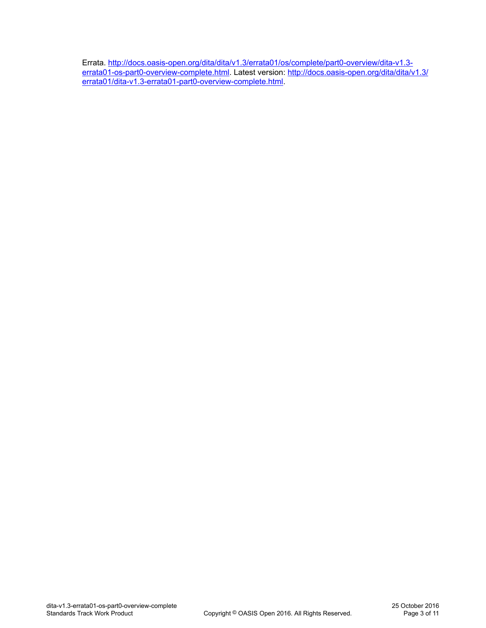Errata. [http://docs.oasis-open.org/dita/dita/v1.3/errata01/os/complete/part0-overview/dita-v1.3](http://docs.oasis-open.org/dita/dita/v1.3/errata01/os/complete/part0-overview/dita-v1.3-errata01-os-part0-overview-complete.html) [errata01-os-part0-overview-complete.html](http://docs.oasis-open.org/dita/dita/v1.3/errata01/os/complete/part0-overview/dita-v1.3-errata01-os-part0-overview-complete.html). Latest version: [http://docs.oasis-open.org/dita/dita/v1.3/](http://docs.oasis-open.org/dita/dita/v1.3/errata01/dita-v1.3-errata01-part0-overview-complete.html) [errata01/dita-v1.3-errata01-part0-overview-complete.html.](http://docs.oasis-open.org/dita/dita/v1.3/errata01/dita-v1.3-errata01-part0-overview-complete.html)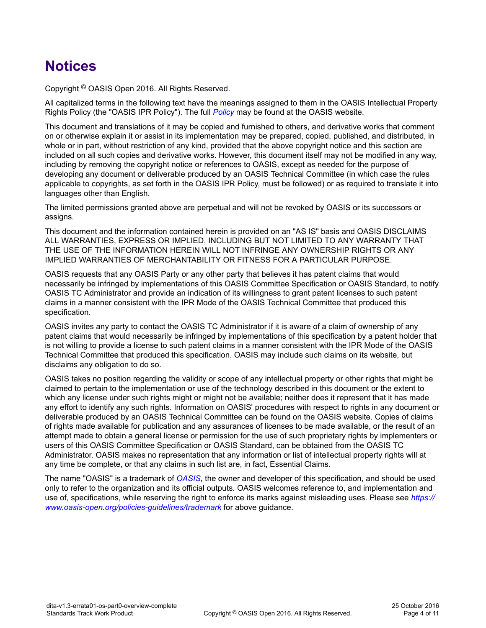## **Notices**

Copyright © OASIS Open 2016. All Rights Reserved.

All capitalized terms in the following text have the meanings assigned to them in the OASIS Intellectual Property Rights Policy (the "OASIS IPR Policy"). The full *[Policy](https://www.oasis-open.org/policies-guidelines/ipr)* may be found at the OASIS website.

This document and translations of it may be copied and furnished to others, and derivative works that comment on or otherwise explain it or assist in its implementation may be prepared, copied, published, and distributed, in whole or in part, without restriction of any kind, provided that the above copyright notice and this section are included on all such copies and derivative works. However, this document itself may not be modified in any way, including by removing the copyright notice or references to OASIS, except as needed for the purpose of developing any document or deliverable produced by an OASIS Technical Committee (in which case the rules applicable to copyrights, as set forth in the OASIS IPR Policy, must be followed) or as required to translate it into languages other than English.

The limited permissions granted above are perpetual and will not be revoked by OASIS or its successors or assigns.

This document and the information contained herein is provided on an "AS IS" basis and OASIS DISCLAIMS ALL WARRANTIES, EXPRESS OR IMPLIED, INCLUDING BUT NOT LIMITED TO ANY WARRANTY THAT THE USE OF THE INFORMATION HEREIN WILL NOT INFRINGE ANY OWNERSHIP RIGHTS OR ANY IMPLIED WARRANTIES OF MERCHANTABILITY OR FITNESS FOR A PARTICULAR PURPOSE.

OASIS requests that any OASIS Party or any other party that believes it has patent claims that would necessarily be infringed by implementations of this OASIS Committee Specification or OASIS Standard, to notify OASIS TC Administrator and provide an indication of its willingness to grant patent licenses to such patent claims in a manner consistent with the IPR Mode of the OASIS Technical Committee that produced this specification.

OASIS invites any party to contact the OASIS TC Administrator if it is aware of a claim of ownership of any patent claims that would necessarily be infringed by implementations of this specification by a patent holder that is not willing to provide a license to such patent claims in a manner consistent with the IPR Mode of the OASIS Technical Committee that produced this specification. OASIS may include such claims on its website, but disclaims any obligation to do so.

OASIS takes no position regarding the validity or scope of any intellectual property or other rights that might be claimed to pertain to the implementation or use of the technology described in this document or the extent to which any license under such rights might or might not be available; neither does it represent that it has made any effort to identify any such rights. Information on OASIS' procedures with respect to rights in any document or deliverable produced by an OASIS Technical Committee can be found on the OASIS website. Copies of claims of rights made available for publication and any assurances of licenses to be made available, or the result of an attempt made to obtain a general license or permission for the use of such proprietary rights by implementers or users of this OASIS Committee Specification or OASIS Standard, can be obtained from the OASIS TC Administrator. OASIS makes no representation that any information or list of intellectual property rights will at any time be complete, or that any claims in such list are, in fact, Essential Claims.

The name "OASIS" is a trademark of *[OASIS](https://www.oasis-open.org/)*, the owner and developer of this specification, and should be used only to refer to the organization and its official outputs. OASIS welcomes reference to, and implementation and use of, specifications, while reserving the right to enforce its marks against misleading uses. Please see *[https://](https://www.oasis-open.org/policies-guidelines/trademark) [www.oasis-open.org/policies-guidelines/trademark](https://www.oasis-open.org/policies-guidelines/trademark)* for above guidance.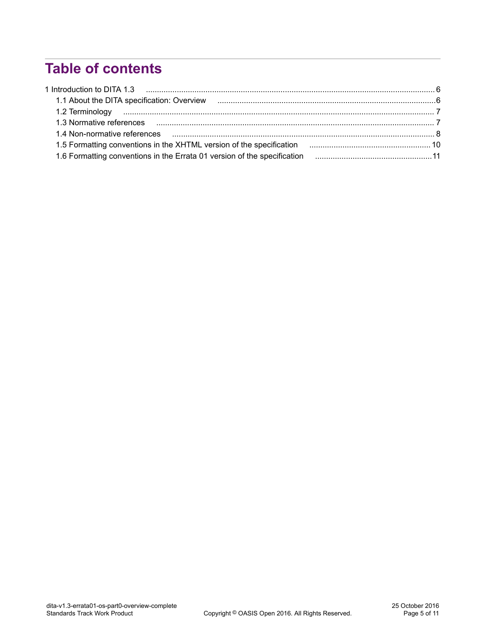## **Table of contents**

| 1.3 Normative references manufactured and all the contract of the contract of the contract of the contract of the contract of the contract of the contract of the contract of the contract of the contract of the contract of |  |
|-------------------------------------------------------------------------------------------------------------------------------------------------------------------------------------------------------------------------------|--|
|                                                                                                                                                                                                                               |  |
|                                                                                                                                                                                                                               |  |
|                                                                                                                                                                                                                               |  |
|                                                                                                                                                                                                                               |  |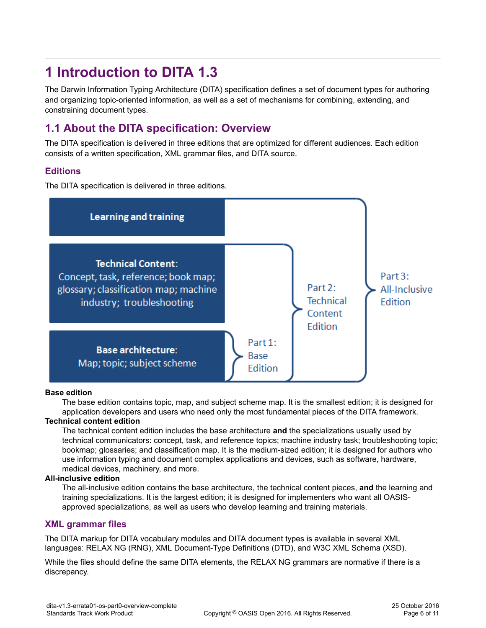## <span id="page-5-0"></span>**1 Introduction to DITA 1.3**

The Darwin Information Typing Architecture (DITA) specification defines a set of document types for authoring and organizing topic-oriented information, as well as a set of mechanisms for combining, extending, and constraining document types.

#### **1.1 About the DITA specification: Overview**

The DITA specification is delivered in three editions that are optimized for different audiences. Each edition consists of a written specification, XML grammar files, and DITA source.

#### **Editions**

The DITA specification is delivered in three editions.



#### **Base edition**

The base edition contains topic, map, and subject scheme map. It is the smallest edition; it is designed for application developers and users who need only the most fundamental pieces of the DITA framework.

#### **Technical content edition**

The technical content edition includes the base architecture **and** the specializations usually used by technical communicators: concept, task, and reference topics; machine industry task; troubleshooting topic; bookmap; glossaries; and classification map. It is the medium-sized edition; it is designed for authors who use information typing and document complex applications and devices, such as software, hardware, medical devices, machinery, and more.

#### **All-inclusive edition**

The all-inclusive edition contains the base architecture, the technical content pieces, **and** the learning and training specializations. It is the largest edition; it is designed for implementers who want all OASISapproved specializations, as well as users who develop learning and training materials.

#### **XML grammar files**

The DITA markup for DITA vocabulary modules and DITA document types is available in several XML languages: RELAX NG (RNG), XML Document-Type Definitions (DTD), and W3C XML Schema (XSD).

While the files should define the same DITA elements, the RELAX NG grammars are normative if there is a discrepancy.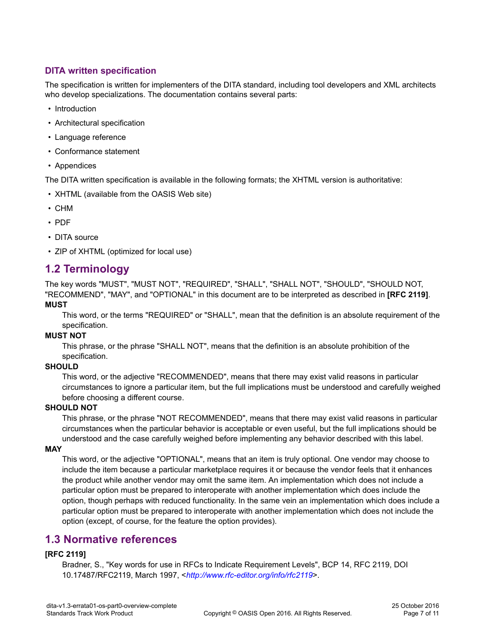#### <span id="page-6-0"></span>**DITA written specification**

The specification is written for implementers of the DITA standard, including tool developers and XML architects who develop specializations. The documentation contains several parts:

- Introduction
- Architectural specification
- Language reference
- Conformance statement
- Appendices

The DITA written specification is available in the following formats; the XHTML version is authoritative:

- XHTML (available from the OASIS Web site)
- CHM
- PDF
- DITA source
- ZIP of XHTML (optimized for local use)

#### **1.2 Terminology**

The key words "MUST", "MUST NOT", "REQUIRED", "SHALL", "SHALL NOT", "SHOULD", "SHOULD NOT, "RECOMMEND", "MAY", and "OPTIONAL" in this document are to be interpreted as described in **[RFC 2119]**. **MUST**

This word, or the terms "REQUIRED" or "SHALL", mean that the definition is an absolute requirement of the specification.

#### **MUST NOT**

This phrase, or the phrase "SHALL NOT", means that the definition is an absolute prohibition of the specification.

#### **SHOULD**

This word, or the adjective "RECOMMENDED", means that there may exist valid reasons in particular circumstances to ignore a particular item, but the full implications must be understood and carefully weighed before choosing a different course.

#### **SHOULD NOT**

This phrase, or the phrase "NOT RECOMMENDED", means that there may exist valid reasons in particular circumstances when the particular behavior is acceptable or even useful, but the full implications should be understood and the case carefully weighed before implementing any behavior described with this label.

#### **MAY**

This word, or the adjective "OPTIONAL", means that an item is truly optional. One vendor may choose to include the item because a particular marketplace requires it or because the vendor feels that it enhances the product while another vendor may omit the same item. An implementation which does not include a particular option must be prepared to interoperate with another implementation which does include the option, though perhaps with reduced functionality. In the same vein an implementation which does include a particular option must be prepared to interoperate with another implementation which does not include the option (except, of course, for the feature the option provides).

#### **1.3 Normative references**

#### **[RFC 2119]**

Bradner, S., "Key words for use in RFCs to Indicate Requirement Levels", BCP 14, RFC 2119, DOI 10.17487/RFC2119, March 1997, <*<http://www.rfc-editor.org/info/rfc2119>*>.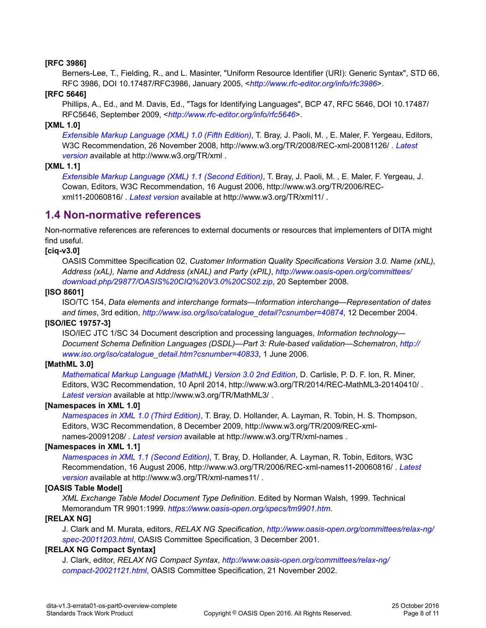#### <span id="page-7-0"></span>**[RFC 3986]**

Berners-Lee, T., Fielding, R., and L. Masinter, "Uniform Resource Identifier (URI): Generic Syntax", STD 66, RFC 3986, DOI 10.17487/RFC3986, January 2005, <*<http://www.rfc-editor.org/info/rfc3986>*>.

#### **[RFC 5646]**

Phillips, A., Ed., and M. Davis, Ed., "Tags for Identifying Languages", BCP 47, RFC 5646, DOI 10.17487/ RFC5646, September 2009, <*<http://www.rfc-editor.org/info/rfc5646>*>.

#### **[XML 1.0]**

*[Extensible Markup Language \(XML\) 1.0 \(Fifth Edition\)](http://www.w3.org/TR/2008/REC-xml-20081126/)*, T. Bray, J. Paoli, M. , E. Maler, F. Yergeau, Editors, W3C Recommendation, 26 November 2008, http://www.w3.org/TR/2008/REC-xml-20081126/ . *[Latest](http://www.w3.org/TR/xml) [version](http://www.w3.org/TR/xml)* available at http://www.w3.org/TR/xml .

#### **[XML 1.1]**

*[Extensible Markup Language \(XML\) 1.1 \(Second Edition\)](http://www.w3.org/TR/2006/REC-xml11-20060816/)*, T. Bray, J. Paoli, M. , E. Maler, F. Yergeau, J. Cowan, Editors, W3C Recommendation, 16 August 2006, http://www.w3.org/TR/2006/RECxml11-20060816/ . *[Latest version](http://www.w3.org/TR/xml11/)* available at http://www.w3.org/TR/xml11/ .

#### **1.4 Non-normative references**

Non-normative references are references to external documents or resources that implementers of DITA might find useful.

#### **[ciq-v3.0]**

OASIS Committee Specification 02, *Customer Information Quality Specifications Version 3.0. Name (xNL), Address (xAL), Name and Address (xNAL) and Party (xPIL)*, *[http://www.oasis-open.org/committees/](http://www.oasis-open.org/committees/download.php/29877/OASIS%20CIQ%20V3.0%20CS02.zip) [download.php/29877/OASIS%20CIQ%20V3.0%20CS02.zip](http://www.oasis-open.org/committees/download.php/29877/OASIS%20CIQ%20V3.0%20CS02.zip)*, 20 September 2008.

#### **[ISO 8601]**

ISO/TC 154, *Data elements and interchange formats—Information interchange—Representation of dates and times*, 3rd edition, *[http://www.iso.org/iso/catalogue\\_detail?csnumber=40874](http://www.iso.org/iso/catalogue_detail?csnumber=40874)*, 12 December 2004.

#### **[ISO/IEC 19757-3]**

ISO/IEC JTC 1/SC 34 Document description and processing languages, *Information technology— Document Schema Definition Languages (DSDL)—Part 3: Rule-based validation—Schematron*, *[http://](http://www.iso.org/iso/catalogue_detail.htm?csnumber=40833) [www.iso.org/iso/catalogue\\_detail.htm?csnumber=40833](http://www.iso.org/iso/catalogue_detail.htm?csnumber=40833)*, 1 June 2006.

#### **[MathML 3.0]**

*[Mathematical Markup Language \(MathML\) Version 3.0 2nd Edition](http://www.w3.org/TR/2014/REC-MathML3-20140410/)*, D. Carlisle, P. D. F. Ion, R. Miner, Editors, W3C Recommendation, 10 April 2014, http://www.w3.org/TR/2014/REC-MathML3-20140410/ . *[Latest version](http://www.w3.org/TR/MathML3/)* available at http://www.w3.org/TR/MathML3/ .

#### **[Namespaces in XML 1.0]**

*[Namespaces in XML 1.0 \(Third Edition\)](http://www.w3.org/TR/2009/REC-xml-names-20091208/)*, T. Bray, D. Hollander, A. Layman, R. Tobin, H. S. Thompson, Editors, W3C Recommendation, 8 December 2009, http://www.w3.org/TR/2009/REC-xmlnames-20091208/ . *[Latest version](http://www.w3.org/TR/xml-names)* available at http://www.w3.org/TR/xml-names .

#### **[Namespaces in XML 1.1]**

*[Namespaces in XML 1.1 \(Second Edition\)](http://www.w3.org/TR/2006/REC-xml-names11-20060816/)*, T. Bray, D. Hollander, A. Layman, R. Tobin, Editors, W3C Recommendation, 16 August 2006, http://www.w3.org/TR/2006/REC-xml-names11-20060816/ . *[Latest](http://www.w3.org/TR/xml-names11/) [version](http://www.w3.org/TR/xml-names11/)* available at http://www.w3.org/TR/xml-names11/ .

#### **[OASIS Table Model]**

*XML Exchange Table Model Document Type Definition*. Edited by Norman Walsh, 1999. Technical Memorandum TR 9901:1999. *<https://www.oasis-open.org/specs/tm9901.htm>*.

#### **[RELAX NG]**

J. Clark and M. Murata, editors, *RELAX NG Specification*, *[http://www.oasis-open.org/committees/relax-ng/](http://www.oasis-open.org/committees/relax-ng/spec-20011203.html) [spec-20011203.html](http://www.oasis-open.org/committees/relax-ng/spec-20011203.html)*, OASIS Committee Specification, 3 December 2001.

#### **[RELAX NG Compact Syntax]**

J. Clark, editor, *RELAX NG Compact Syntax*, *[http://www.oasis-open.org/committees/relax-ng/](http://www.oasis-open.org/committees/relax-ng/compact-20021121.html) [compact-20021121.html](http://www.oasis-open.org/committees/relax-ng/compact-20021121.html)*, OASIS Committee Specification, 21 November 2002.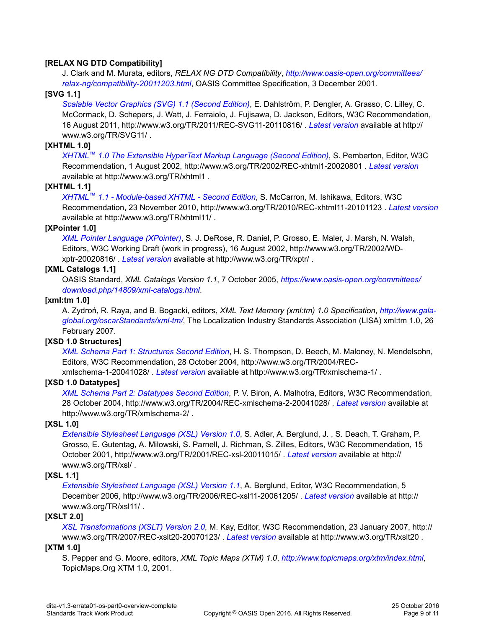#### **[RELAX NG DTD Compatibility]**

J. Clark and M. Murata, editors, *RELAX NG DTD Compatibility*, *[http://www.oasis-open.org/committees/](http://www.oasis-open.org/committees/relax-ng/compatibility-20011203.html) [relax-ng/compatibility-20011203.html](http://www.oasis-open.org/committees/relax-ng/compatibility-20011203.html)*, OASIS Committee Specification, 3 December 2001.

#### **[SVG 1.1]**

*[Scalable Vector Graphics \(SVG\) 1.1 \(Second Edition\)](http://www.w3.org/TR/2011/REC-SVG11-20110816/)*, E. Dahlström, P. Dengler, A. Grasso, C. Lilley, C. McCormack, D. Schepers, J. Watt, J. Ferraiolo, J. Fujisawa, D. Jackson, Editors, W3C Recommendation, 16 August 2011, http://www.w3.org/TR/2011/REC-SVG11-20110816/ . *[Latest version](http://www.w3.org/TR/SVG11/)* available at http:// www.w3.org/TR/SVG11/ .

#### **[XHTML 1.0]**

*XHTML™ [1.0 The Extensible HyperText Markup Language \(Second Edition\)](http://www.w3.org/TR/2002/REC-xhtml1-20020801)*, S. Pemberton, Editor, W3C Recommendation, 1 August 2002, http://www.w3.org/TR/2002/REC-xhtml1-20020801 . *[Latest version](http://www.w3.org/TR/xhtml1)* available at http://www.w3.org/TR/xhtml1 .

#### **[XHTML 1.1]**

*XHTML™ [1.1 - Module-based XHTML - Second Edition](http://www.w3.org/TR/2010/REC-xhtml11-20101123)*, S. McCarron, M. Ishikawa, Editors, W3C Recommendation, 23 November 2010, http://www.w3.org/TR/2010/REC-xhtml11-20101123 . *[Latest version](http://www.w3.org/TR/xhtml11/)* available at http://www.w3.org/TR/xhtml11/ .

#### **[XPointer 1.0]**

*[XML Pointer Language \(XPointer\)](http://www.w3.org/TR/2002/WD-xptr-20020816/)*, S. J. DeRose, R. Daniel, P. Grosso, E. Maler, J. Marsh, N. Walsh, Editors, W3C Working Draft (work in progress), 16 August 2002, http://www.w3.org/TR/2002/WDxptr-20020816/ . *[Latest version](http://www.w3.org/TR/xptr/)* available at http://www.w3.org/TR/xptr/ .

#### **[XML Catalogs 1.1]**

OASIS Standard, *XML Catalogs Version 1.1*, 7 October 2005, *[https://www.oasis-open.org/committees/](https://www.oasis-open.org/committees/download.php/14809/xml-catalogs.html) [download.php/14809/xml-catalogs.html](https://www.oasis-open.org/committees/download.php/14809/xml-catalogs.html)*.

#### **[xml:tm 1.0]**

A. Zydroń, R. Raya, and B. Bogacki, editors, *XML Text Memory (xml:tm) 1.0 Specification*, *[http://www.gala](http://www.ttt.org/oscarStandards/xml-tm/)[global.org/oscarStandards/xml-tm/](http://www.ttt.org/oscarStandards/xml-tm/)*, The Localization Industry Standards Association (LISA) xml:tm 1.0, 26 February 2007.

#### **[XSD 1.0 Structures]**

*[XML Schema Part 1: Structures Second Edition](http://www.w3.org/TR/2004/REC-xmlschema-1-20041028/)*, H. S. Thompson, D. Beech, M. Maloney, N. Mendelsohn, Editors, W3C Recommendation, 28 October 2004, http://www.w3.org/TR/2004/RECxmlschema-1-20041028/ . *[Latest version](http://www.w3.org/TR/xmlschema-1/)* available at http://www.w3.org/TR/xmlschema-1/ .

#### **[XSD 1.0 Datatypes]**

*[XML Schema Part 2: Datatypes Second Edition](http://www.w3.org/TR/2004/REC-xmlschema-2-20041028/)*, P. V. Biron, A. Malhotra, Editors, W3C Recommendation, 28 October 2004, http://www.w3.org/TR/2004/REC-xmlschema-2-20041028/ . *[Latest version](http://www.w3.org/TR/xmlschema-2/)* available at http://www.w3.org/TR/xmlschema-2/ .

#### **[XSL 1.0]**

*[Extensible Stylesheet Language \(XSL\) Version 1.0](http://www.w3.org/TR/2001/REC-xsl-20011015/)*, S. Adler, A. Berglund, J. , S. Deach, T. Graham, P. Grosso, E. Gutentag, A. Milowski, S. Parnell, J. Richman, S. Zilles, Editors, W3C Recommendation, 15 October 2001, http://www.w3.org/TR/2001/REC-xsl-20011015/ . *[Latest version](http://www.w3.org/TR/xsl/)* available at http:// www.w3.org/TR/xsl/ .

#### **[XSL 1.1]**

*[Extensible Stylesheet Language \(XSL\) Version 1.1](http://www.w3.org/TR/2006/REC-xsl11-20061205/)*, A. Berglund, Editor, W3C Recommendation, 5 December 2006, http://www.w3.org/TR/2006/REC-xsl11-20061205/ . *[Latest version](http://www.w3.org/TR/xsl11/)* available at http:// www.w3.org/TR/xsl11/ .

#### **[XSLT 2.0]**

*[XSL Transformations \(XSLT\) Version 2.0](http://www.w3.org/TR/2007/REC-xslt20-20070123/)*, M. Kay, Editor, W3C Recommendation, 23 January 2007, http:// www.w3.org/TR/2007/REC-xslt20-20070123/ . *[Latest version](http://www.w3.org/TR/xslt20)* available at http://www.w3.org/TR/xslt20 .

#### **[XTM 1.0]**

S. Pepper and G. Moore, editors, *XML Topic Maps (XTM) 1.0*, *<http://www.topicmaps.org/xtm/index.html>*, TopicMaps.Org XTM 1.0, 2001.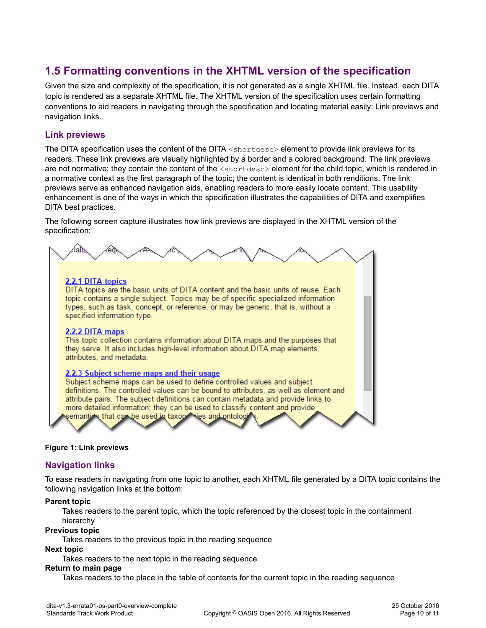#### <span id="page-9-0"></span>**1.5 Formatting conventions in the XHTML version of the specification**

Given the size and complexity of the specification, it is not generated as a single XHTML file. Instead, each DITA topic is rendered as a separate XHTML file. The XHTML version of the specification uses certain formatting conventions to aid readers in navigating through the specification and locating material easily: Link previews and navigation links.

#### **Link previews**

The DITA specification uses the content of the DITA <shortdesc> element to provide link previews for its readers. These link previews are visually highlighted by a border and a colored background. The link previews are not normative; they contain the content of the  $\lt$ shortdesc> element for the child topic, which is rendered in a normative context as the first paragraph of the topic; the content is identical in both renditions. The link previews serve as enhanced navigation aids, enabling readers to more easily locate content. This usability enhancement is one of the ways in which the specification illustrates the capabilities of DITA and exemplifies DITA best practices.

The following screen capture illustrates how link previews are displayed in the XHTML version of the specification:



#### **Figure 1: Link previews**

#### **Navigation links**

To ease readers in navigating from one topic to another, each XHTML file generated by a DITA topic contains the following navigation links at the bottom:

#### **Parent topic**

Takes readers to the parent topic, which the topic referenced by the closest topic in the containment hierarchy

#### **Previous topic**

Takes readers to the previous topic in the reading sequence

#### **Next topic**

Takes readers to the next topic in the reading sequence

#### **Return to main page**

Takes readers to the place in the table of contents for the current topic in the reading sequence